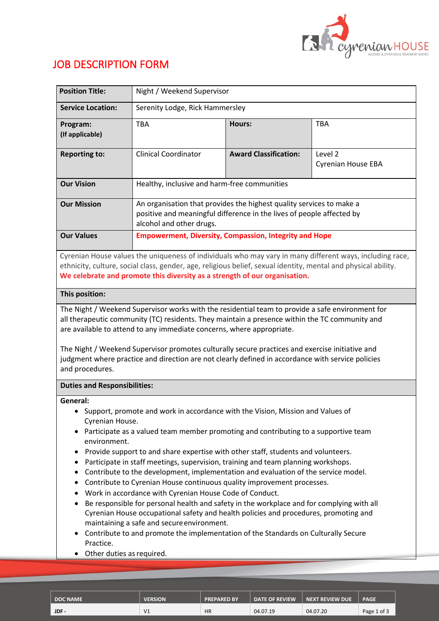

# JOB DESCRIPTION FORM

| <b>Position Title:</b>                                                                                                                                                                                                                                                                                                                                                                             | Night / Weekend Supervisor                                                                                                                                                                                                                                                                                                                                                                                                                                                                                                                                                                                                                                                                                                                                                                                                                                                                            |                                                               |                                      |  |  |
|----------------------------------------------------------------------------------------------------------------------------------------------------------------------------------------------------------------------------------------------------------------------------------------------------------------------------------------------------------------------------------------------------|-------------------------------------------------------------------------------------------------------------------------------------------------------------------------------------------------------------------------------------------------------------------------------------------------------------------------------------------------------------------------------------------------------------------------------------------------------------------------------------------------------------------------------------------------------------------------------------------------------------------------------------------------------------------------------------------------------------------------------------------------------------------------------------------------------------------------------------------------------------------------------------------------------|---------------------------------------------------------------|--------------------------------------|--|--|
| <b>Service Location:</b>                                                                                                                                                                                                                                                                                                                                                                           | Serenity Lodge, Rick Hammersley                                                                                                                                                                                                                                                                                                                                                                                                                                                                                                                                                                                                                                                                                                                                                                                                                                                                       |                                                               |                                      |  |  |
| Program:<br>(If applicable)                                                                                                                                                                                                                                                                                                                                                                        | <b>TBA</b>                                                                                                                                                                                                                                                                                                                                                                                                                                                                                                                                                                                                                                                                                                                                                                                                                                                                                            | Hours:                                                        | <b>TBA</b>                           |  |  |
| <b>Reporting to:</b>                                                                                                                                                                                                                                                                                                                                                                               | <b>Clinical Coordinator</b>                                                                                                                                                                                                                                                                                                                                                                                                                                                                                                                                                                                                                                                                                                                                                                                                                                                                           | <b>Award Classification:</b>                                  | Level 2<br><b>Cyrenian House EBA</b> |  |  |
| <b>Our Vision</b>                                                                                                                                                                                                                                                                                                                                                                                  | Healthy, inclusive and harm-free communities                                                                                                                                                                                                                                                                                                                                                                                                                                                                                                                                                                                                                                                                                                                                                                                                                                                          |                                                               |                                      |  |  |
| <b>Our Mission</b>                                                                                                                                                                                                                                                                                                                                                                                 | An organisation that provides the highest quality services to make a<br>positive and meaningful difference in the lives of people affected by<br>alcohol and other drugs.                                                                                                                                                                                                                                                                                                                                                                                                                                                                                                                                                                                                                                                                                                                             |                                                               |                                      |  |  |
| <b>Our Values</b>                                                                                                                                                                                                                                                                                                                                                                                  |                                                                                                                                                                                                                                                                                                                                                                                                                                                                                                                                                                                                                                                                                                                                                                                                                                                                                                       | <b>Empowerment, Diversity, Compassion, Integrity and Hope</b> |                                      |  |  |
| Cyrenian House values the uniqueness of individuals who may vary in many different ways, including race,<br>ethnicity, culture, social class, gender, age, religious belief, sexual identity, mental and physical ability.<br>We celebrate and promote this diversity as a strength of our organisation.                                                                                           |                                                                                                                                                                                                                                                                                                                                                                                                                                                                                                                                                                                                                                                                                                                                                                                                                                                                                                       |                                                               |                                      |  |  |
| This position:                                                                                                                                                                                                                                                                                                                                                                                     |                                                                                                                                                                                                                                                                                                                                                                                                                                                                                                                                                                                                                                                                                                                                                                                                                                                                                                       |                                                               |                                      |  |  |
| all therapeutic community (TC) residents. They maintain a presence within the TC community and<br>are available to attend to any immediate concerns, where appropriate.<br>The Night / Weekend Supervisor promotes culturally secure practices and exercise initiative and<br>judgment where practice and direction are not clearly defined in accordance with service policies<br>and procedures. |                                                                                                                                                                                                                                                                                                                                                                                                                                                                                                                                                                                                                                                                                                                                                                                                                                                                                                       |                                                               |                                      |  |  |
| <b>Duties and Responsibilities:</b>                                                                                                                                                                                                                                                                                                                                                                |                                                                                                                                                                                                                                                                                                                                                                                                                                                                                                                                                                                                                                                                                                                                                                                                                                                                                                       |                                                               |                                      |  |  |
| General:<br>Cyrenian House.<br>environment.<br>٠<br>٠<br>٠<br>٠<br>٠<br>Practice.<br>Other duties as required.<br>٠                                                                                                                                                                                                                                                                                | • Support, promote and work in accordance with the Vision, Mission and Values of<br>Participate as a valued team member promoting and contributing to a supportive team<br>Provide support to and share expertise with other staff, students and volunteers.<br>Participate in staff meetings, supervision, training and team planning workshops.<br>Contribute to the development, implementation and evaluation of the service model.<br>Contribute to Cyrenian House continuous quality improvement processes.<br>Work in accordance with Cyrenian House Code of Conduct.<br>Be responsible for personal health and safety in the workplace and for complying with all<br>Cyrenian House occupational safety and health policies and procedures, promoting and<br>maintaining a safe and secure environment.<br>Contribute to and promote the implementation of the Standards on Culturally Secure |                                                               |                                      |  |  |

| <b>DOC NAME</b> | <b>VERSION</b> | <b>PREPARED BY</b> | <b>DATE OF REVIEW</b> | <b>NEXT REVIEW DUE</b> | <b>PAGE</b> |
|-----------------|----------------|--------------------|-----------------------|------------------------|-------------|
| JDF-            | V <sub>1</sub> | <b>HR</b>          | 04.07.19              | 04.07.20               | Page 1 of 3 |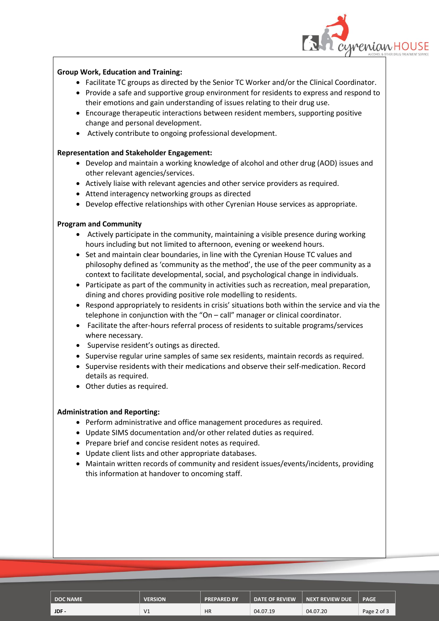

# **Group Work, Education and Training:**

- Facilitate TC groups as directed by the Senior TC Worker and/or the Clinical Coordinator.
- Provide a safe and supportive group environment for residents to express and respond to their emotions and gain understanding of issues relating to their drug use.
- Encourage therapeutic interactions between resident members, supporting positive change and personal development.
- Actively contribute to ongoing professional development.

### **Representation and Stakeholder Engagement:**

- Develop and maintain a working knowledge of alcohol and other drug (AOD) issues and other relevant agencies/services.
- Actively liaise with relevant agencies and other service providers as required.
- Attend interagency networking groups as directed
- Develop effective relationships with other Cyrenian House services as appropriate.

# **Program and Community**

- Actively participate in the community, maintaining a visible presence during working hours including but not limited to afternoon, evening or weekend hours.
- Set and maintain clear boundaries, in line with the Cyrenian House TC values and philosophy defined as 'community as the method', the use of the peer community as a context to facilitate developmental, social, and psychological change in individuals.
- Participate as part of the community in activities such as recreation, meal preparation, dining and chores providing positive role modelling to residents.
- Respond appropriately to residents in crisis' situations both within the service and via the telephone in conjunction with the "On – call" manager or clinical coordinator.
- Facilitate the after-hours referral process of residents to suitable programs/services where necessary.
- Supervise resident's outings as directed.
- Supervise regular urine samples of same sex residents, maintain records as required.
- Supervise residents with their medications and observe their self-medication. Record details as required.
- Other duties as required.

#### **Administration and Reporting:**

- Perform administrative and office management procedures as required.
- Update SIMS documentation and/or other related duties as required.
- Prepare brief and concise resident notes as required.
- Update client lists and other appropriate databases.
- Maintain written records of community and resident issues/events/incidents, providing this information at handover to oncoming staff.

| <b>DOC NAME</b> | <b>VERSION</b> | <b>PREPARED BY</b> | <b>DATE OF REVIEW</b> | <b>NEXT REVIEW DUE</b> | <b>PAGE</b> |
|-----------------|----------------|--------------------|-----------------------|------------------------|-------------|
| JDF-            | V <sub>1</sub> | <b>HR</b>          | 04.07.19              | 04.07.20               | Page 2 of 3 |